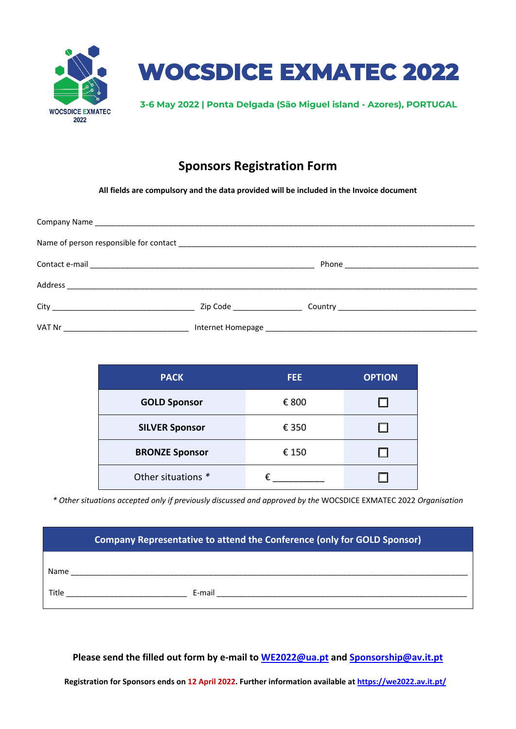



**3-6 May 2022 | Ponta Delgada (São Miguel island - Azores), PORTUGAL**

## **Sponsors Registration Form**

**All fields are compulsory and the data provided will be included in the Invoice document**

| <b>PACK</b>           | FEE.  | <b>OPTION</b> |  |
|-----------------------|-------|---------------|--|
| <b>GOLD Sponsor</b>   | € 800 |               |  |
| <b>SILVER Sponsor</b> | € 350 |               |  |
| <b>BRONZE Sponsor</b> | € 150 |               |  |
| Other situations *    |       |               |  |

*\* Other situations accepted only if previously discussed and approved by the* WOCSDICE EXMATEC 2022 *Organisation*

| <b>Company Representative to attend the Conference (only for GOLD Sponsor)</b> |        |  |  |  |
|--------------------------------------------------------------------------------|--------|--|--|--|
| Name                                                                           |        |  |  |  |
| Title                                                                          | E-mail |  |  |  |

**Please send the filled out form by e-mail to [WE2022@ua.pt](mailto:WE2022@ua.pt) and [Sponsorship@av.it.pt](mailto:Sponsorship@av.it.pt)**

**Registration for Sponsors ends on 12 April 2022. Further information available at <https://we2022.av.it.pt/>**